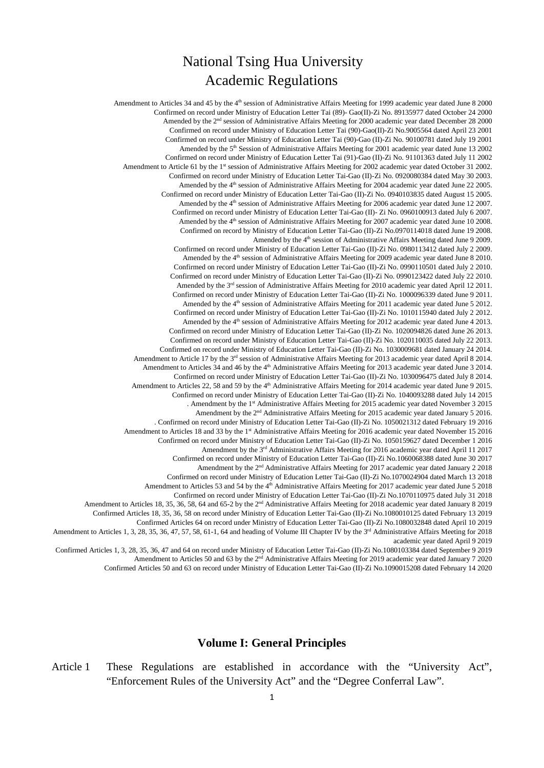# National Tsing Hua University Academic Regulations

Amendment to Articles 34 and 45 by the 4<sup>th</sup> session of Administrative Affairs Meeting for 1999 academic year dated June 8 2000 Confirmed on record under Ministry of Education Letter Tai (89)- Gao(II)-Zi No. 89135977 dated October 24 2000 Amended by the 2<sup>nd</sup> session of Administrative Affairs Meeting for 2000 academic year dated December 28 2000 Confirmed on record under Ministry of Education Letter Tai (90)-Gao(II)-Zi No.9005564 dated April 23 2001 Confirmed on record under Ministry of Education Letter Tai (90)-Gao (II)-Zi No. 90100781 dated July 19 2001 Amended by the 5<sup>th</sup> Session of Administrative Affairs Meeting for 2001 academic year dated June 13 2002 Confirmed on record under Ministry of Education Letter Tai (91)-Gao (II)-Zi No. 91101363 dated July 11 2002 Amendment to Article 61 by the 1<sup>st</sup> session of Administrative Affairs Meeting for 2002 academic year dated October 31 2002. Confirmed on record under Ministry of Education Letter Tai-Gao (II)-Zi No. 0920080384 dated May 30 2003. Amended by the 4<sup>th</sup> session of Administrative Affairs Meeting for 2004 academic year dated June 22 2005. Confirmed on record under Ministry of Education Letter Tai-Gao (II)-Zi No. 0940103835 dated August 15 2005. Amended by the 4<sup>th</sup> session of Administrative Affairs Meeting for 2006 academic year dated June 12 2007. Confirmed on record under Ministry of Education Letter Tai-Gao (II)- Zi No. 0960100913 dated July 6 2007. Amended by the 4<sup>th</sup> session of Administrative Affairs Meeting for 2007 academic year dated June 10 2008. Confirmed on record by Ministry of Education Letter Tai-Gao (II)-Zi No.0970114018 dated June 19 2008. Amended by the 4<sup>th</sup> session of Administrative Affairs Meeting dated June 9 2009. Confirmed on record under Ministry of Education Letter Tai-Gao (II)-Zi No. 0980113412 dated July 2 2009. Amended by the 4<sup>th</sup> session of Administrative Affairs Meeting for 2009 academic year dated June 8 2010. Confirmed on record under Ministry of Education Letter Tai-Gao (II)-Zi No. 0990110501 dated July 2 2010. Confirmed on record under Ministry of Education Letter Tai-Gao (II)-Zi No. 0990123422 dated July 22 2010. Amended by the 3<sup>rd</sup> session of Administrative Affairs Meeting for 2010 academic year dated April 12 2011. Confirmed on record under Ministry of Education Letter Tai-Gao (II)-Zi No. 1000096339 dated June 9 2011. Amended by the 4<sup>th</sup> session of Administrative Affairs Meeting for 2011 academic year dated June 5 2012. Confirmed on record under Ministry of Education Letter Tai-Gao (II)-Zi No. 1010115940 dated July 2 2012. Amended by the 4<sup>th</sup> session of Administrative Affairs Meeting for 2012 academic year dated June 4 2013. Confirmed on record under Ministry of Education Letter Tai-Gao (II)-Zi No. 1020094826 dated June 26 2013. Confirmed on record under Ministry of Education Letter Tai-Gao (II)-Zi No. 1020110035 dated July 22 2013. Confirmed on record under Ministry of Education Letter Tai-Gao (II)-Zi No. 1030009681 dated January 24 2014. Amendment to Article 17 by the 3<sup>rd</sup> session of Administrative Affairs Meeting for 2013 academic year dated April 8 2014. Amendment to Articles 34 and 46 by the 4<sup>th</sup> Administrative Affairs Meeting for 2013 academic year dated June 3 2014. Confirmed on record under Ministry of Education Letter Tai-Gao (II)-Zi No. 1030096475 dated July 8 2014. Amendment to Articles 22, 58 and 59 by the 4<sup>th</sup> Administrative Affairs Meeting for 2014 academic year dated June 9 2015. Confirmed on record under Ministry of Education Letter Tai-Gao (II)-Zi No. 1040093288 dated July 14 2015 . Amendment by the 1st Administrative Affairs Meeting for 2015 academic year dated November 3 2015 Amendment by the 2nd Administrative Affairs Meeting for 2015 academic year dated January 5 2016. . Confirmed on record under Ministry of Education Letter Tai-Gao (II)-Zi No. 1050021312 dated February 19 2016 Amendment to Articles 18 and 33 by the 1<sup>st</sup> Administrative Affairs Meeting for 2016 academic year dated November 15 2016 Confirmed on record under Ministry of Education Letter Tai-Gao (II)-Zi No. 1050159627 dated December 1 2016 Amendment by the 3rd Administrative Affairs Meeting for 2016 academic year dated April 11 2017 Confirmed on record under Ministry of Education Letter Tai-Gao (II)-Zi No.1060068388 dated June 30 2017 Amendment by the 2<sup>nd</sup> Administrative Affairs Meeting for 2017 academic year dated January 2 2018 Confirmed on record under Ministry of Education Letter Tai-Gao (II)-Zi No.1070024904 dated March 13 2018 Amendment to Articles 53 and 54 by the 4<sup>th</sup> Administrative Affairs Meeting for 2017 academic year dated June 5 2018 Confirmed on record under Ministry of Education Letter Tai-Gao (II)-Zi No.1070110975 dated July 31 2018 Amendment to Articles 18, 35, 36, 58, 64 and 65-2 by the 2nd Administrative Affairs Meeting for 2018 academic year dated January 8 2019 Confirmed Articles 18, 35, 36, 58 on record under Ministry of Education Letter Tai-Gao (II)-Zi No.1080010125 dated February 13 2019 Confirmed Articles 64 on record under Ministry of Education Letter Tai-Gao (II)-Zi No.1080032848 dated April 10 2019 Amendment to Articles 1, 3, 28, 35, 36, 47, 57, 58, 61-1, 64 and heading of Volume III Chapter IV by the 3<sup>rd</sup> Administrative Affairs Meeting for 2018 academic year dated April 9 2019 Confirmed Articles 1, 3, 28, 35, 36, 47 and 64 on record under Ministry of Education Letter Tai-Gao (II)-Zi No.1080103384 dated September 9 2019 Amendment to Articles 50 and 63 by the 2<sup>nd</sup> Administrative Affairs Meeting for 2019 academic year dated January 7 2020

Confirmed Articles 50 and 63 on record under Ministry of Education Letter Tai-Gao (II)-Zi No.1090015208 dated February 14 2020

#### **Volume I: General Principles**

Article 1 These Regulations are established in accordance with the "University Act", "Enforcement Rules of the University Act" and the "Degree Conferral Law".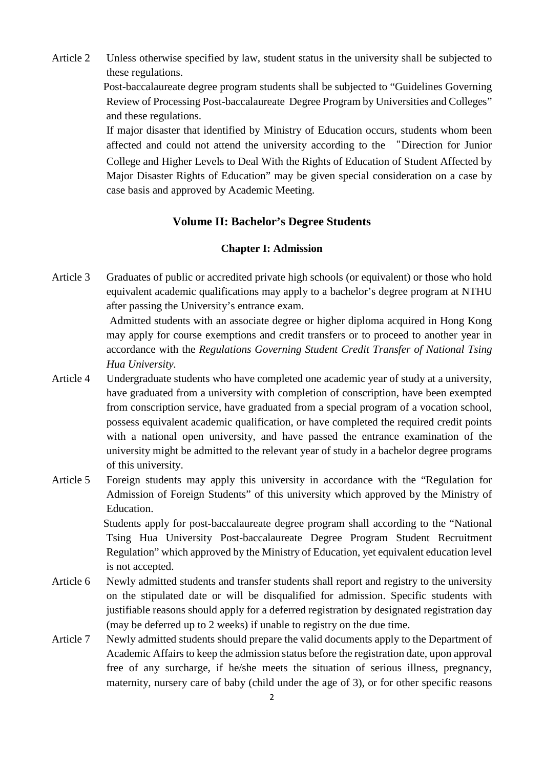Article 2 Unless otherwise specified by law, student status in the university shall be subjected to these regulations.

> Post-baccalaureate degree program students shall be subjected to "Guidelines Governing Review of Processing Post-baccalaureate Degree Program by Universities and Colleges" and these regulations.

> If major disaster that identified by Ministry of Education occurs, students whom been affected and could not attend the university according to the "Direction for Junior College and Higher Levels to Deal With the Rights of Education of Student Affected by Major Disaster Rights of Education" may be given special consideration on a case by case basis and approved by Academic Meeting.

# **Volume II: Bachelor's Degree Students**

# **Chapter I: Admission**

Article 3 Graduates of public or accredited private high schools (or equivalent) or those who hold equivalent academic qualifications may apply to a bachelor's degree program at NTHU after passing the University's entrance exam.

> Admitted students with an associate degree or higher diploma acquired in Hong Kong may apply for course exemptions and credit transfers or to proceed to another year in accordance with the *Regulations Governing Student Credit Transfer of National Tsing Hua University.*

- Article 4 Undergraduate students who have completed one academic year of study at a university, have graduated from a university with completion of conscription, have been exempted from conscription service, have graduated from a special program of a vocation school, possess equivalent academic qualification, or have completed the required credit points with a national open university, and have passed the entrance examination of the university might be admitted to the relevant year of study in a bachelor degree programs of this university.
- Article 5 Foreign students may apply this university in accordance with the "Regulation for Admission of Foreign Students" of this university which approved by the Ministry of Education.

Students apply for post-baccalaureate degree program shall according to the "National Tsing Hua University Post-baccalaureate Degree Program Student Recruitment Regulation" which approved by the Ministry of Education, yet equivalent education level is not accepted.

- Article 6 Newly admitted students and transfer students shall report and registry to the university on the stipulated date or will be disqualified for admission. Specific students with justifiable reasons should apply for a deferred registration by designated registration day (may be deferred up to 2 weeks) if unable to registry on the due time.
- Article 7 Newly admitted students should prepare the valid documents apply to the Department of Academic Affairs to keep the admission status before the registration date, upon approval free of any surcharge, if he/she meets the situation of serious illness, pregnancy, maternity, nursery care of baby (child under the age of 3), or for other specific reasons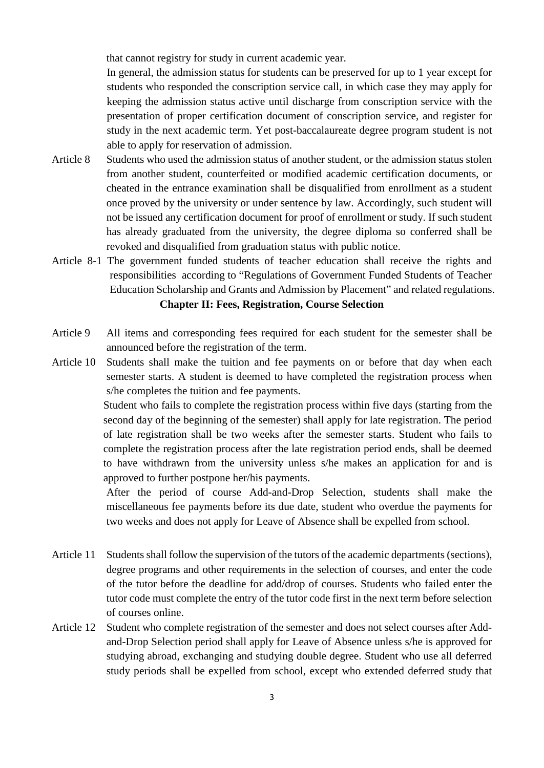that cannot registry for study in current academic year.

In general, the admission status for students can be preserved for up to 1 year except for students who responded the conscription service call, in which case they may apply for keeping the admission status active until discharge from conscription service with the presentation of proper certification document of conscription service, and register for study in the next academic term. Yet post-baccalaureate degree program student is not able to apply for reservation of admission.

- Article 8 Students who used the admission status of another student, or the admission status stolen from another student, counterfeited or modified academic certification documents, or cheated in the entrance examination shall be disqualified from enrollment as a student once proved by the university or under sentence by law. Accordingly, such student will not be issued any certification document for proof of enrollment or study. If such student has already graduated from the university, the degree diploma so conferred shall be revoked and disqualified from graduation status with public notice.
- Article 8-1 The government funded students of teacher education shall receive the rights and responsibilities according to "Regulations of Government Funded Students of Teacher Education Scholarship and Grants and Admission by Placement" and related regulations. **Chapter II: Fees, Registration, Course Selection**
- Article 9 All items and corresponding fees required for each student for the semester shall be announced before the registration of the term.
- Article 10 Students shall make the tuition and fee payments on or before that day when each semester starts. A student is deemed to have completed the registration process when s/he completes the tuition and fee payments.

Student who fails to complete the registration process within five days (starting from the second day of the beginning of the semester) shall apply for late registration. The period of late registration shall be two weeks after the semester starts. Student who fails to complete the registration process after the late registration period ends, shall be deemed to have withdrawn from the university unless s/he makes an application for and is approved to further postpone her/his payments.

After the period of course Add-and-Drop Selection, students shall make the miscellaneous fee payments before its due date, student who overdue the payments for two weeks and does not apply for Leave of Absence shall be expelled from school.

- Article 11 Students shall follow the supervision of the tutors of the academic departments (sections), degree programs and other requirements in the selection of courses, and enter the code of the tutor before the deadline for add/drop of courses. Students who failed enter the tutor code must complete the entry of the tutor code first in the next term before selection of courses online.
- Article 12 Student who complete registration of the semester and does not select courses after Addand-Drop Selection period shall apply for Leave of Absence unless s/he is approved for studying abroad, exchanging and studying double degree. Student who use all deferred study periods shall be expelled from school, except who extended deferred study that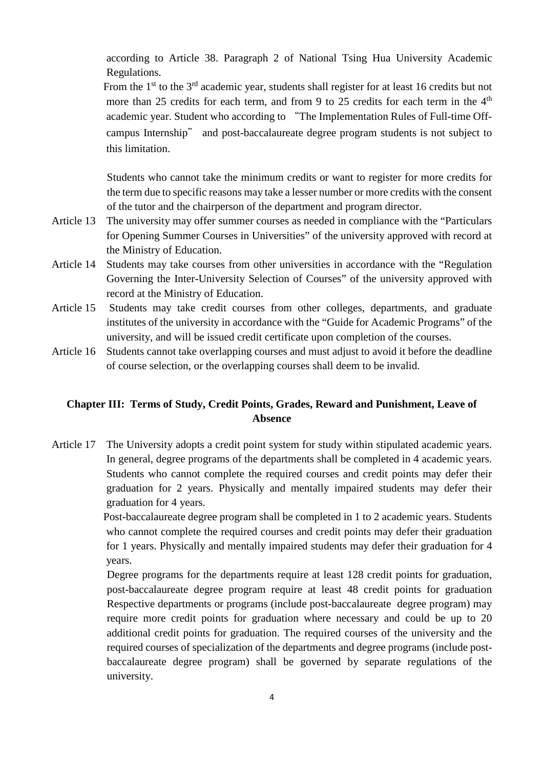according to Article 38. Paragraph 2 of National Tsing Hua University Academic Regulations.

From the  $1<sup>st</sup>$  to the  $3<sup>rd</sup>$  academic year, students shall register for at least 16 credits but not more than 25 credits for each term, and from 9 to 25 credits for each term in the  $4<sup>th</sup>$ academic year. Student who according to "The Implementation Rules of Full-time Offcampus Internship" and post-baccalaureate degree program students is not subject to this limitation.

Students who cannot take the minimum credits or want to register for more credits for the term due to specific reasons may take a lesser number or more credits with the consent of the tutor and the chairperson of the department and program director.

- Article 13 The university may offer summer courses as needed in compliance with the "Particulars for Opening Summer Courses in Universities" of the university approved with record at the Ministry of Education.
- Article 14 Students may take courses from other universities in accordance with the "Regulation Governing the Inter-University Selection of Courses" of the university approved with record at the Ministry of Education.
- Article 15 Students may take credit courses from other colleges, departments, and graduate institutes of the university in accordance with the "Guide for Academic Programs" of the university, and will be issued credit certificate upon completion of the courses.
- Article 16 Students cannot take overlapping courses and must adjust to avoid it before the deadline of course selection, or the overlapping courses shall deem to be invalid.

# **Chapter III: Terms of Study, Credit Points, Grades, Reward and Punishment, Leave of Absence**

Article 17 The University adopts a credit point system for study within stipulated academic years. In general, degree programs of the departments shall be completed in 4 academic years. Students who cannot complete the required courses and credit points may defer their graduation for 2 years. Physically and mentally impaired students may defer their graduation for 4 years.

> Post-baccalaureate degree program shall be completed in 1 to 2 academic years. Students who cannot complete the required courses and credit points may defer their graduation for 1 years. Physically and mentally impaired students may defer their graduation for 4 years.

> Degree programs for the departments require at least 128 credit points for graduation, post-baccalaureate degree program require at least 48 credit points for graduation Respective departments or programs (include post-baccalaureate degree program) may require more credit points for graduation where necessary and could be up to 20 additional credit points for graduation. The required courses of the university and the required courses of specialization of the departments and degree programs (include postbaccalaureate degree program) shall be governed by separate regulations of the university.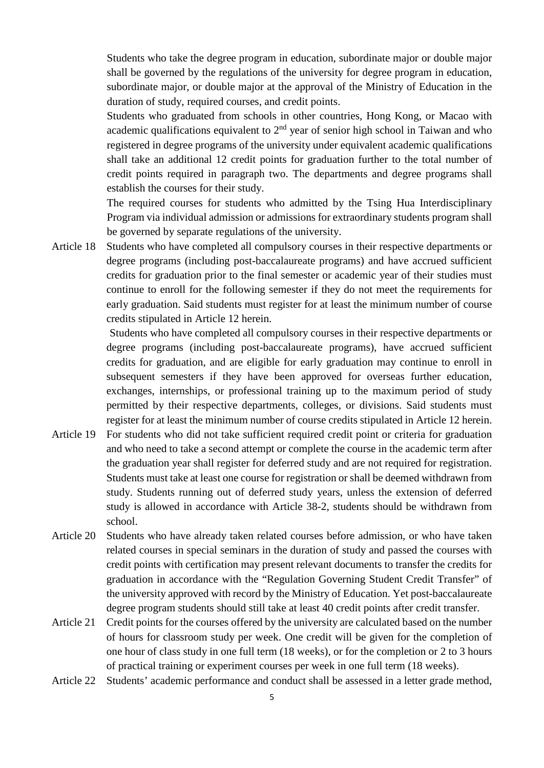Students who take the degree program in education, subordinate major or double major shall be governed by the regulations of the university for degree program in education, subordinate major, or double major at the approval of the Ministry of Education in the duration of study, required courses, and credit points.

Students who graduated from schools in other countries, Hong Kong, or Macao with academic qualifications equivalent to  $2<sup>nd</sup>$  year of senior high school in Taiwan and who registered in degree programs of the university under equivalent academic qualifications shall take an additional 12 credit points for graduation further to the total number of credit points required in paragraph two. The departments and degree programs shall establish the courses for their study.

The required courses for students who admitted by the Tsing Hua Interdisciplinary Program via individual admission or admissions for extraordinary students program shall be governed by separate regulations of the university.

Article 18 Students who have completed all compulsory courses in their respective departments or degree programs (including post-baccalaureate programs) and have accrued sufficient credits for graduation prior to the final semester or academic year of their studies must continue to enroll for the following semester if they do not meet the requirements for early graduation. Said students must register for at least the minimum number of course credits stipulated in Article 12 herein.

> Students who have completed all compulsory courses in their respective departments or degree programs (including post-baccalaureate programs), have accrued sufficient credits for graduation, and are eligible for early graduation may continue to enroll in subsequent semesters if they have been approved for overseas further education, exchanges, internships, or professional training up to the maximum period of study permitted by their respective departments, colleges, or divisions. Said students must register for at least the minimum number of course credits stipulated in Article 12 herein.

- Article 19 For students who did not take sufficient required credit point or criteria for graduation and who need to take a second attempt or complete the course in the academic term after the graduation year shall register for deferred study and are not required for registration. Students must take at least one course for registration or shall be deemed withdrawn from study. Students running out of deferred study years, unless the extension of deferred study is allowed in accordance with Article 38-2, students should be withdrawn from school.
- Article 20 Students who have already taken related courses before admission, or who have taken related courses in special seminars in the duration of study and passed the courses with credit points with certification may present relevant documents to transfer the credits for graduation in accordance with the "Regulation Governing Student Credit Transfer" of the university approved with record by the Ministry of Education. Yet post-baccalaureate degree program students should still take at least 40 credit points after credit transfer.
- Article 21 Credit points for the courses offered by the university are calculated based on the number of hours for classroom study per week. One credit will be given for the completion of one hour of class study in one full term (18 weeks), or for the completion or 2 to 3 hours of practical training or experiment courses per week in one full term (18 weeks).
- Article 22 Students' academic performance and conduct shall be assessed in a letter grade method,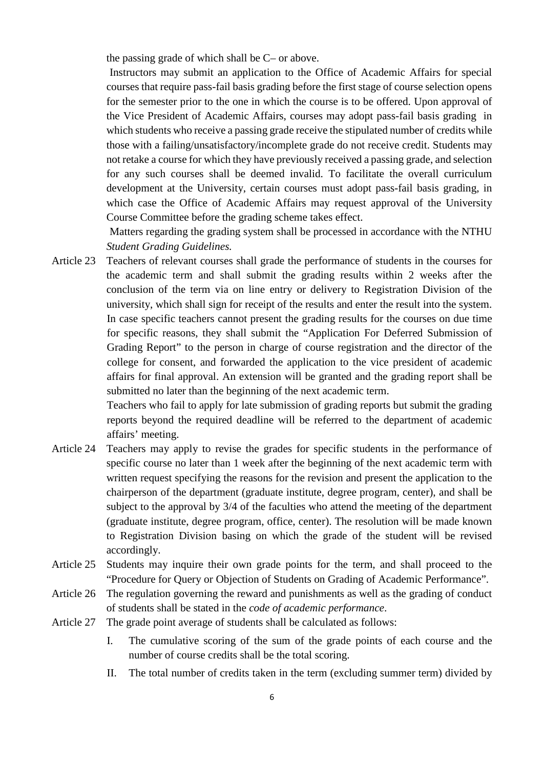the passing grade of which shall be C– or above.

Instructors may submit an application to the Office of Academic Affairs for special courses that require pass-fail basis grading before the first stage of course selection opens for the semester prior to the one in which the course is to be offered. Upon approval of the Vice President of Academic Affairs, courses may adopt pass-fail basis grading in which students who receive a passing grade receive the stipulated number of credits while those with a failing/unsatisfactory/incomplete grade do not receive credit. Students may not retake a course for which they have previously received a passing grade, and selection for any such courses shall be deemed invalid. To facilitate the overall curriculum development at the University, certain courses must adopt pass-fail basis grading, in which case the Office of Academic Affairs may request approval of the University Course Committee before the grading scheme takes effect.

Matters regarding the grading system shall be processed in accordance with the NTHU *Student Grading Guidelines.*

Article 23 Teachers of relevant courses shall grade the performance of students in the courses for the academic term and shall submit the grading results within 2 weeks after the conclusion of the term via on line entry or delivery to Registration Division of the university, which shall sign for receipt of the results and enter the result into the system. In case specific teachers cannot present the grading results for the courses on due time for specific reasons, they shall submit the "Application For Deferred Submission of Grading Report" to the person in charge of course registration and the director of the college for consent, and forwarded the application to the vice president of academic affairs for final approval. An extension will be granted and the grading report shall be submitted no later than the beginning of the next academic term.

> Teachers who fail to apply for late submission of grading reports but submit the grading reports beyond the required deadline will be referred to the department of academic affairs' meeting.

- Article 24 Teachers may apply to revise the grades for specific students in the performance of specific course no later than 1 week after the beginning of the next academic term with written request specifying the reasons for the revision and present the application to the chairperson of the department (graduate institute, degree program, center), and shall be subject to the approval by  $3/4$  of the faculties who attend the meeting of the department (graduate institute, degree program, office, center). The resolution will be made known to Registration Division basing on which the grade of the student will be revised accordingly.
- Article 25 Students may inquire their own grade points for the term, and shall proceed to the "Procedure for Query or Objection of Students on Grading of Academic Performance".
- Article 26 The regulation governing the reward and punishments as well as the grading of conduct of students shall be stated in the *code of academic performance*.
- Article 27 The grade point average of students shall be calculated as follows:
	- I. The cumulative scoring of the sum of the grade points of each course and the number of course credits shall be the total scoring.
	- II. The total number of credits taken in the term (excluding summer term) divided by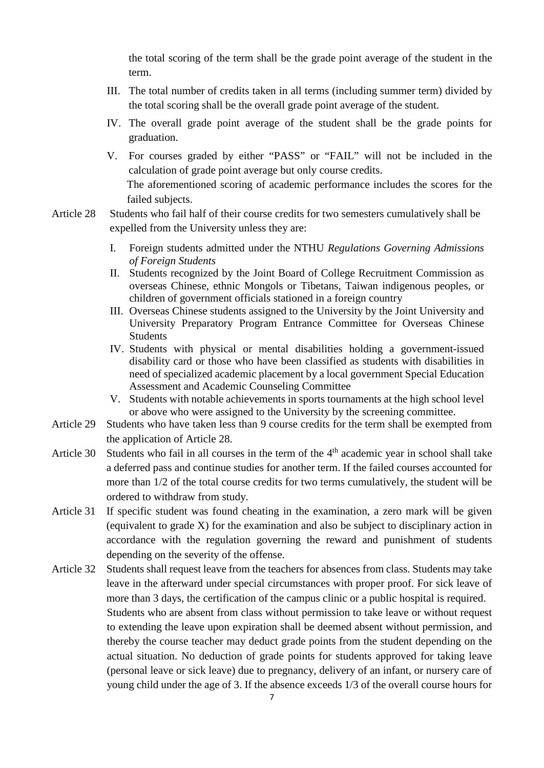the total scoring of the term shall be the grade point average of the student in the term.

- III. The total number of credits taken in all terms (including summer term) divided by the total scoring shall be the overall grade point average of the student.
- IV. The overall grade point average of the student shall be the grade points for graduation.
- V. For courses graded by either "PASS" or "FAIL" will not be included in the calculation of grade point average but only course credits. The aforementioned scoring of academic performance includes the scores for the failed subjects.
- Article 28 Students who fail half of their course credits for two semesters cumulatively shall be expelled from the University unless they are:
	- I. Foreign students admitted under the NTHU *Regulations Governing Admissions of Foreign Students*
	- II. Students recognized by the Joint Board of College Recruitment Commission as overseas Chinese, ethnic Mongols or Tibetans, Taiwan indigenous peoples, or children of government officials stationed in a foreign country
	- III. Overseas Chinese students assigned to the University by the Joint University and University Preparatory Program Entrance Committee for Overseas Chinese **Students**
	- IV. Students with physical or mental disabilities holding a government-issued disability card or those who have been classified as students with disabilities in need of specialized academic placement by a local government Special Education Assessment and Academic Counseling Committee
	- V. Students with notable achievements in sports tournaments at the high school level or above who were assigned to the University by the screening committee.
- Article 29 Students who have taken less than 9 course credits for the term shall be exempted from the application of Article 28.
- Article 30 Students who fail in all courses in the term of the 4<sup>th</sup> academic year in school shall take a deferred pass and continue studies for another term. If the failed courses accounted for more than 1/2 of the total course credits for two terms cumulatively, the student will be ordered to withdraw from study.
- Article 31 If specific student was found cheating in the examination, a zero mark will be given (equivalent to grade X) for the examination and also be subject to disciplinary action in accordance with the regulation governing the reward and punishment of students depending on the severity of the offense.
- Article 32 Students shall request leave from the teachers for absences from class. Students may take leave in the afterward under special circumstances with proper proof. For sick leave of more than 3 days, the certification of the campus clinic or a public hospital is required. Students who are absent from class without permission to take leave or without request to extending the leave upon expiration shall be deemed absent without permission, and thereby the course teacher may deduct grade points from the student depending on the actual situation. No deduction of grade points for students approved for taking leave (personal leave or sick leave) due to pregnancy, delivery of an infant, or nursery care of young child under the age of 3. If the absence exceeds 1/3 of the overall course hours for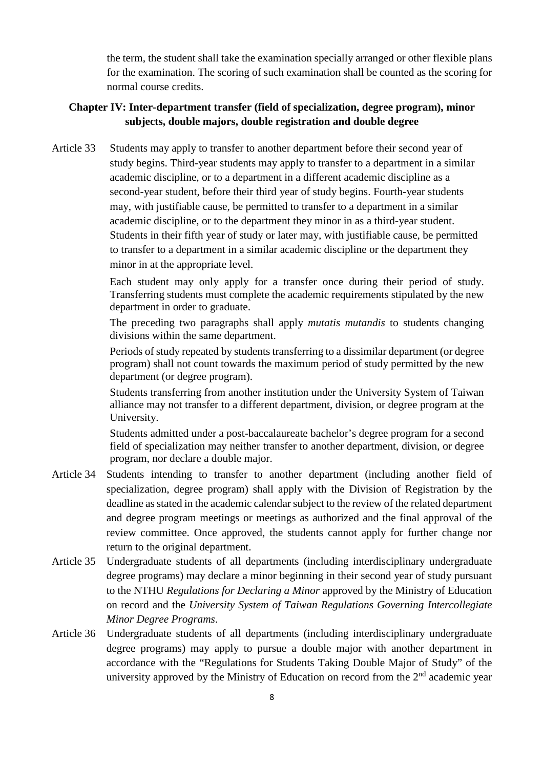the term, the student shall take the examination specially arranged or other flexible plans for the examination. The scoring of such examination shall be counted as the scoring for normal course credits.

# **Chapter IV: Inter-department transfer (field of specialization, degree program), minor subjects, double majors, double registration and double degree**

Article 33 Students may apply to transfer to another department before their second year of study begins. Third-year students may apply to transfer to a department in a similar academic discipline, or to a department in a different academic discipline as a second-year student, before their third year of study begins. Fourth-year students may, with justifiable cause, be permitted to transfer to a department in a similar academic discipline, or to the department they minor in as a third-year student. Students in their fifth year of study or later may, with justifiable cause, be permitted to transfer to a department in a similar academic discipline or the department they minor in at the appropriate level.

> Each student may only apply for a transfer once during their period of study. Transferring students must complete the academic requirements stipulated by the new department in order to graduate.

> The preceding two paragraphs shall apply *mutatis mutandis* to students changing divisions within the same department.

> Periods of study repeated by students transferring to a dissimilar department (or degree program) shall not count towards the maximum period of study permitted by the new department (or degree program).

> Students transferring from another institution under the University System of Taiwan alliance may not transfer to a different department, division, or degree program at the University.

> Students admitted under a post-baccalaureate bachelor's degree program for a second field of specialization may neither transfer to another department, division, or degree program, nor declare a double major.

- Article 34 Students intending to transfer to another department (including another field of specialization, degree program) shall apply with the Division of Registration by the deadline as stated in the academic calendar subject to the review of the related department and degree program meetings or meetings as authorized and the final approval of the review committee. Once approved, the students cannot apply for further change nor return to the original department.
- Article 35 Undergraduate students of all departments (including interdisciplinary undergraduate degree programs) may declare a minor beginning in their second year of study pursuant to the NTHU *Regulations for Declaring a Minor* approved by the Ministry of Education on record and the *University System of Taiwan Regulations Governing Intercollegiate Minor Degree Programs*.
- Article 36 Undergraduate students of all departments (including interdisciplinary undergraduate degree programs) may apply to pursue a double major with another department in accordance with the "Regulations for Students Taking Double Major of Study" of the university approved by the Ministry of Education on record from the  $2<sup>nd</sup>$  academic year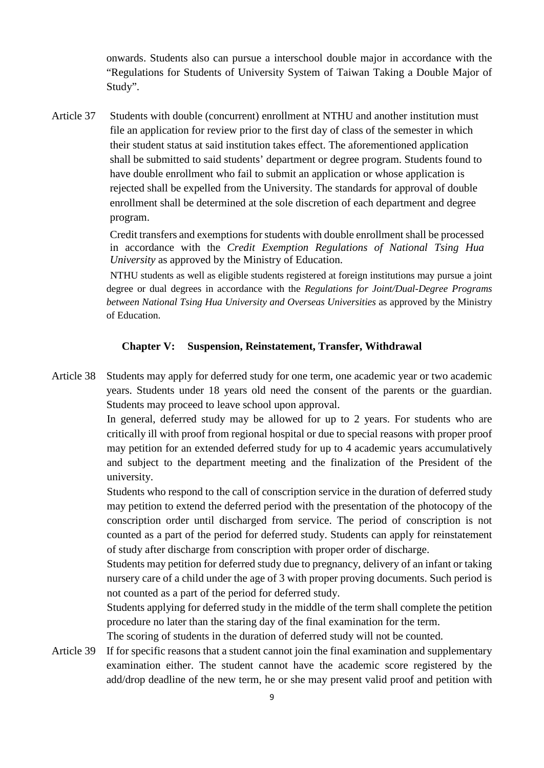onwards. Students also can pursue a interschool double major in accordance with the "Regulations for Students of University System of Taiwan Taking a Double Major of Study".

Article 37 Students with double (concurrent) enrollment at NTHU and another institution must file an application for review prior to the first day of class of the semester in which their student status at said institution takes effect. The aforementioned application shall be submitted to said students' department or degree program. Students found to have double enrollment who fail to submit an application or whose application is rejected shall be expelled from the University. The standards for approval of double enrollment shall be determined at the sole discretion of each department and degree program.

> Credit transfers and exemptions for students with double enrollment shall be processed in accordance with the *Credit Exemption Regulations of National Tsing Hua University* as approved by the Ministry of Education.

NTHU students as well as eligible students registered at foreign institutions may pursue a joint degree or dual degrees in accordance with the *Regulations for Joint/Dual-Degree Programs between National Tsing Hua University and Overseas Universities* as approved by the Ministry of Education.

# **Chapter V: Suspension, Reinstatement, Transfer, Withdrawal**

Article 38 Students may apply for deferred study for one term, one academic year or two academic years. Students under 18 years old need the consent of the parents or the guardian. Students may proceed to leave school upon approval.

> In general, deferred study may be allowed for up to 2 years. For students who are critically ill with proof from regional hospital or due to special reasons with proper proof may petition for an extended deferred study for up to 4 academic years accumulatively and subject to the department meeting and the finalization of the President of the university.

> Students who respond to the call of conscription service in the duration of deferred study may petition to extend the deferred period with the presentation of the photocopy of the conscription order until discharged from service. The period of conscription is not counted as a part of the period for deferred study. Students can apply for reinstatement of study after discharge from conscription with proper order of discharge.

> Students may petition for deferred study due to pregnancy, delivery of an infant or taking nursery care of a child under the age of 3 with proper proving documents. Such period is not counted as a part of the period for deferred study.

> Students applying for deferred study in the middle of the term shall complete the petition procedure no later than the staring day of the final examination for the term.

The scoring of students in the duration of deferred study will not be counted.

Article 39 If for specific reasons that a student cannot join the final examination and supplementary examination either. The student cannot have the academic score registered by the add/drop deadline of the new term, he or she may present valid proof and petition with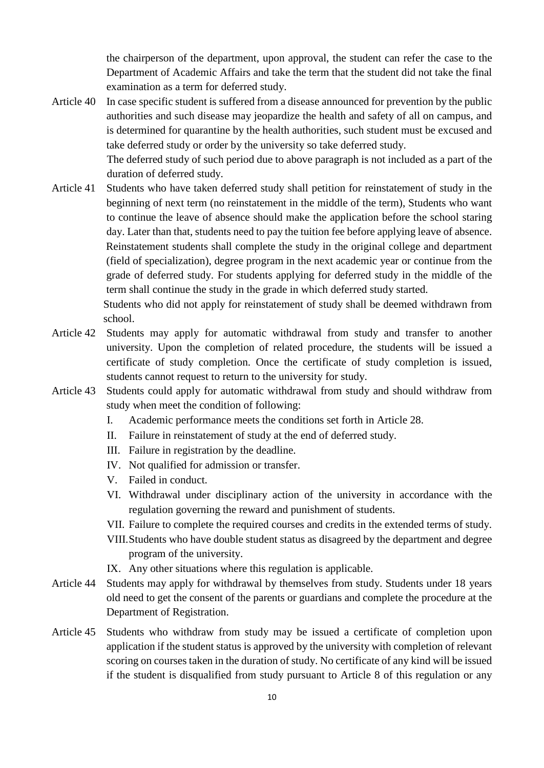the chairperson of the department, upon approval, the student can refer the case to the Department of Academic Affairs and take the term that the student did not take the final examination as a term for deferred study.

Article 40 In case specific student is suffered from a disease announced for prevention by the public authorities and such disease may jeopardize the health and safety of all on campus, and is determined for quarantine by the health authorities, such student must be excused and take deferred study or order by the university so take deferred study.

The deferred study of such period due to above paragraph is not included as a part of the duration of deferred study.

Article 41 Students who have taken deferred study shall petition for reinstatement of study in the beginning of next term (no reinstatement in the middle of the term), Students who want to continue the leave of absence should make the application before the school staring day. Later than that, students need to pay the tuition fee before applying leave of absence. Reinstatement students shall complete the study in the original college and department (field of specialization), degree program in the next academic year or continue from the grade of deferred study. For students applying for deferred study in the middle of the term shall continue the study in the grade in which deferred study started.

Students who did not apply for reinstatement of study shall be deemed withdrawn from school.

- Article 42 Students may apply for automatic withdrawal from study and transfer to another university. Upon the completion of related procedure, the students will be issued a certificate of study completion. Once the certificate of study completion is issued, students cannot request to return to the university for study.
- Article 43 Students could apply for automatic withdrawal from study and should withdraw from study when meet the condition of following:
	- I. Academic performance meets the conditions set forth in Article 28.
	- II. Failure in reinstatement of study at the end of deferred study.
	- III. Failure in registration by the deadline.
	- IV. Not qualified for admission or transfer.
	- V. Failed in conduct.
	- VI. Withdrawal under disciplinary action of the university in accordance with the regulation governing the reward and punishment of students.
	- VII. Failure to complete the required courses and credits in the extended terms of study.
	- VIII.Students who have double student status as disagreed by the department and degree program of the university.
	- IX. Any other situations where this regulation is applicable.
- Article 44 Students may apply for withdrawal by themselves from study. Students under 18 years old need to get the consent of the parents or guardians and complete the procedure at the Department of Registration.
- Article 45 Students who withdraw from study may be issued a certificate of completion upon application if the student status is approved by the university with completion of relevant scoring on courses taken in the duration of study. No certificate of any kind will be issued if the student is disqualified from study pursuant to Article 8 of this regulation or any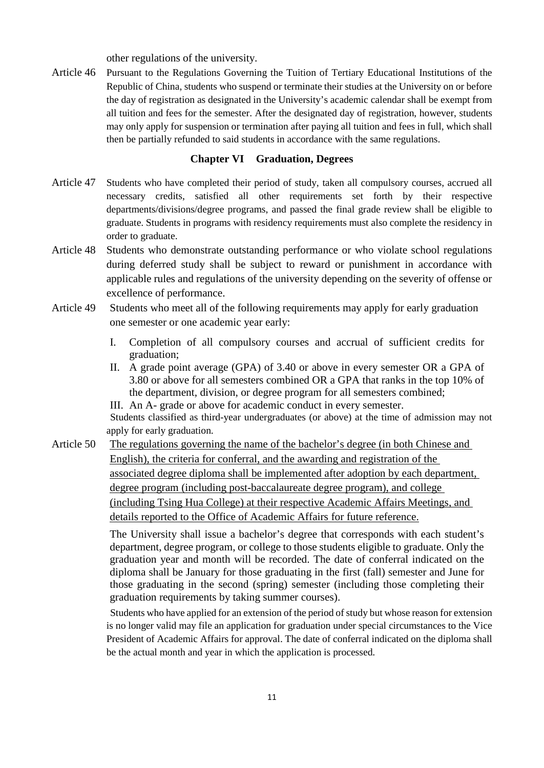other regulations of the university.

Article 46 Pursuant to the Regulations Governing the Tuition of Tertiary Educational Institutions of the Republic of China, students who suspend or terminate their studies at the University on or before the day of registration as designated in the University's academic calendar shall be exempt from all tuition and fees for the semester. After the designated day of registration, however, students may only apply for suspension or termination after paying all tuition and fees in full, which shall then be partially refunded to said students in accordance with the same regulations.

#### **Chapter VI Graduation, Degrees**

- Article 47 Students who have completed their period of study, taken all compulsory courses, accrued all necessary credits, satisfied all other requirements set forth by their respective departments/divisions/degree programs, and passed the final grade review shall be eligible to graduate. Students in programs with residency requirements must also complete the residency in order to graduate.
- Article 48 Students who demonstrate outstanding performance or who violate school regulations during deferred study shall be subject to reward or punishment in accordance with applicable rules and regulations of the university depending on the severity of offense or excellence of performance.
- Article 49 Students who meet all of the following requirements may apply for early graduation one semester or one academic year early:
	- I. Completion of all compulsory courses and accrual of sufficient credits for graduation;
	- II. A grade point average (GPA) of 3.40 or above in every semester OR a GPA of 3.80 or above for all semesters combined OR a GPA that ranks in the top 10% of the department, division, or degree program for all semesters combined;
	- III. An A- grade or above for academic conduct in every semester.

Students classified as third-year undergraduates (or above) at the time of admission may not apply for early graduation.

Article 50 The regulations governing the name of the bachelor's degree (in both Chinese and English), the criteria for conferral, and the awarding and registration of the associated degree diploma shall be implemented after adoption by each department, degree program (including post-baccalaureate degree program), and college (including Tsing Hua College) at their respective Academic Affairs Meetings, and details reported to the Office of Academic Affairs for future reference.

> The University shall issue a bachelor's degree that corresponds with each student's department, degree program, or college to those students eligible to graduate. Only the graduation year and month will be recorded. The date of conferral indicated on the diploma shall be January for those graduating in the first (fall) semester and June for those graduating in the second (spring) semester (including those completing their graduation requirements by taking summer courses).

Students who have applied for an extension of the period of study but whose reason for extension is no longer valid may file an application for graduation under special circumstances to the Vice President of Academic Affairs for approval. The date of conferral indicated on the diploma shall be the actual month and year in which the application is processed.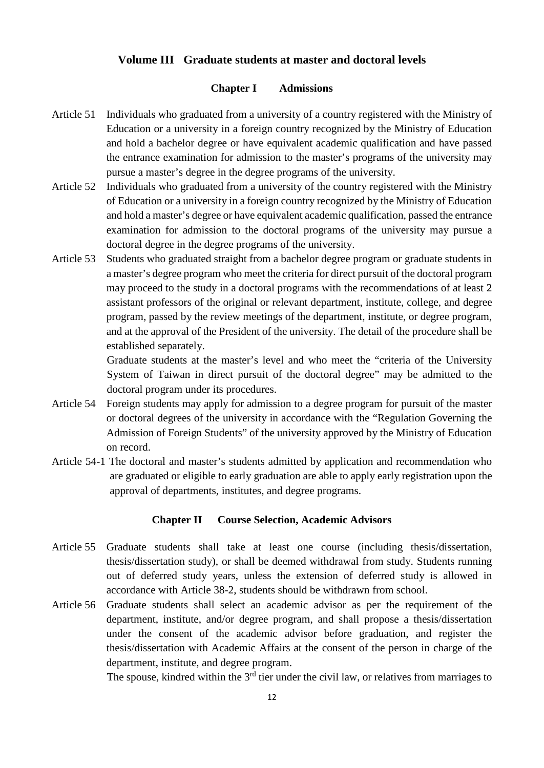# **Volume III Graduate students at master and doctoral levels**

# **Chapter I Admissions**

- Article 51 Individuals who graduated from a university of a country registered with the Ministry of Education or a university in a foreign country recognized by the Ministry of Education and hold a bachelor degree or have equivalent academic qualification and have passed the entrance examination for admission to the master's programs of the university may pursue a master's degree in the degree programs of the university.
- Article 52 Individuals who graduated from a university of the country registered with the Ministry of Education or a university in a foreign country recognized by the Ministry of Education and hold a master's degree or have equivalent academic qualification, passed the entrance examination for admission to the doctoral programs of the university may pursue a doctoral degree in the degree programs of the university.
- Article 53 Students who graduated straight from a bachelor degree program or graduate students in a master's degree program who meet the criteria for direct pursuit of the doctoral program may proceed to the study in a doctoral programs with the recommendations of at least 2 assistant professors of the original or relevant department, institute, college, and degree program, passed by the review meetings of the department, institute, or degree program, and at the approval of the President of the university. The detail of the procedure shall be established separately.

Graduate students at the master's level and who meet the "criteria of the University System of Taiwan in direct pursuit of the doctoral degree" may be admitted to the doctoral program under its procedures.

- Article 54 Foreign students may apply for admission to a degree program for pursuit of the master or doctoral degrees of the university in accordance with the "Regulation Governing the Admission of Foreign Students" of the university approved by the Ministry of Education on record.
- Article 54-1 The doctoral and master's students admitted by application and recommendation who are graduated or eligible to early graduation are able to apply early registration upon the approval of departments, institutes, and degree programs.

#### **Chapter II Course Selection, Academic Advisors**

- Article 55 Graduate students shall take at least one course (including thesis/dissertation, thesis/dissertation study), or shall be deemed withdrawal from study. Students running out of deferred study years, unless the extension of deferred study is allowed in accordance with Article 38-2, students should be withdrawn from school.
- Article 56 Graduate students shall select an academic advisor as per the requirement of the department, institute, and/or degree program, and shall propose a thesis/dissertation under the consent of the academic advisor before graduation, and register the thesis/dissertation with Academic Affairs at the consent of the person in charge of the department, institute, and degree program.

The spouse, kindred within the  $3<sup>rd</sup>$  tier under the civil law, or relatives from marriages to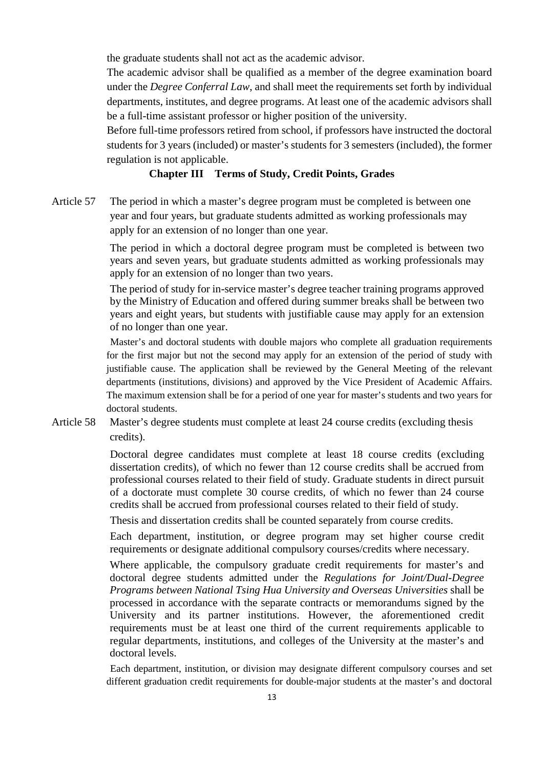the graduate students shall not act as the academic advisor.

The academic advisor shall be qualified as a member of the degree examination board under the *Degree Conferral Law*, and shall meet the requirements set forth by individual departments, institutes, and degree programs. At least one of the academic advisors shall be a full-time assistant professor or higher position of the university.

Before full-time professors retired from school, if professors have instructed the doctoral students for 3 years (included) or master's students for 3 semesters (included), the former regulation is not applicable.

# **Chapter III Terms of Study, Credit Points, Grades**

Article 57 The period in which a master's degree program must be completed is between one year and four years, but graduate students admitted as working professionals may apply for an extension of no longer than one year.

> The period in which a doctoral degree program must be completed is between two years and seven years, but graduate students admitted as working professionals may apply for an extension of no longer than two years.

> The period of study for in-service master's degree teacher training programs approved by the Ministry of Education and offered during summer breaks shall be between two years and eight years, but students with justifiable cause may apply for an extension of no longer than one year.

Master's and doctoral students with double majors who complete all graduation requirements for the first major but not the second may apply for an extension of the period of study with justifiable cause. The application shall be reviewed by the General Meeting of the relevant departments (institutions, divisions) and approved by the Vice President of Academic Affairs. The maximum extension shall be for a period of one year for master's students and two years for doctoral students.

Article 58 Master's degree students must complete at least 24 course credits (excluding thesis credits).

> Doctoral degree candidates must complete at least 18 course credits (excluding dissertation credits), of which no fewer than 12 course credits shall be accrued from professional courses related to their field of study. Graduate students in direct pursuit of a doctorate must complete 30 course credits, of which no fewer than 24 course credits shall be accrued from professional courses related to their field of study.

Thesis and dissertation credits shall be counted separately from course credits.

Each department, institution, or degree program may set higher course credit requirements or designate additional compulsory courses/credits where necessary.

Where applicable, the compulsory graduate credit requirements for master's and doctoral degree students admitted under the *Regulations for Joint/Dual-Degree Programs between National Tsing Hua University and Overseas Universities* shall be processed in accordance with the separate contracts or memorandums signed by the University and its partner institutions. However, the aforementioned credit requirements must be at least one third of the current requirements applicable to regular departments, institutions, and colleges of the University at the master's and doctoral levels.

Each department, institution, or division may designate different compulsory courses and set different graduation credit requirements for double-major students at the master's and doctoral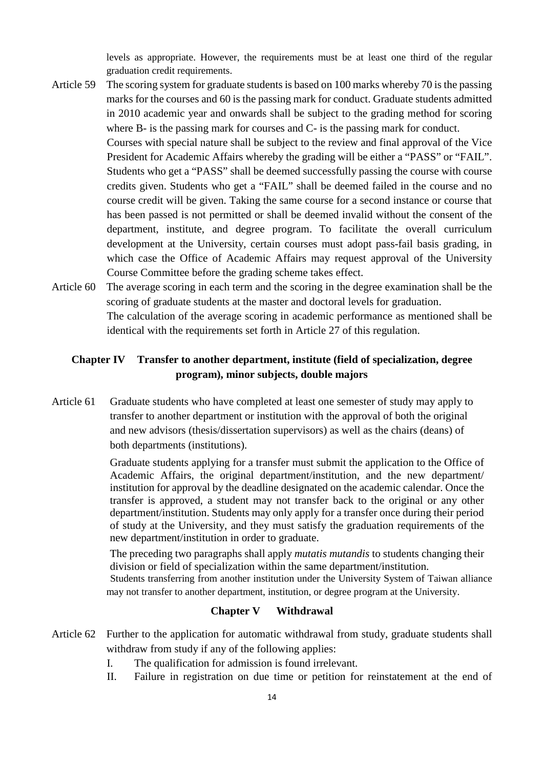levels as appropriate. However, the requirements must be at least one third of the regular graduation credit requirements.

- Article 59 The scoring system for graduate students is based on 100 marks whereby 70 is the passing marks for the courses and 60 is the passing mark for conduct. Graduate students admitted in 2010 academic year and onwards shall be subject to the grading method for scoring where B- is the passing mark for courses and C- is the passing mark for conduct. Courses with special nature shall be subject to the review and final approval of the Vice President for Academic Affairs whereby the grading will be either a "PASS" or "FAIL". Students who get a "PASS" shall be deemed successfully passing the course with course credits given. Students who get a "FAIL" shall be deemed failed in the course and no course credit will be given. Taking the same course for a second instance or course that has been passed is not permitted or shall be deemed invalid without the consent of the department, institute, and degree program. To facilitate the overall curriculum
	- development at the University, certain courses must adopt pass-fail basis grading, in which case the Office of Academic Affairs may request approval of the University Course Committee before the grading scheme takes effect.
- Article 60 The average scoring in each term and the scoring in the degree examination shall be the scoring of graduate students at the master and doctoral levels for graduation. The calculation of the average scoring in academic performance as mentioned shall be identical with the requirements set forth in Article 27 of this regulation.

# **Chapter IV Transfer to another department, institute (field of specialization, degree program), minor subjects, double majors**

Article 61 Graduate students who have completed at least one semester of study may apply to transfer to another department or institution with the approval of both the original and new advisors (thesis/dissertation supervisors) as well as the chairs (deans) of both departments (institutions).

> Graduate students applying for a transfer must submit the application to the Office of Academic Affairs, the original department/institution, and the new department/ institution for approval by the deadline designated on the academic calendar. Once the transfer is approved, a student may not transfer back to the original or any other department/institution. Students may only apply for a transfer once during their period of study at the University, and they must satisfy the graduation requirements of the new department/institution in order to graduate.

The preceding two paragraphs shall apply *mutatis mutandis* to students changing their division or field of specialization within the same department/institution. Students transferring from another institution under the University System of Taiwan alliance may not transfer to another department, institution, or degree program at the University.

#### **Chapter V Withdrawal**

- Article 62 Further to the application for automatic withdrawal from study, graduate students shall withdraw from study if any of the following applies:
	- I. The qualification for admission is found irrelevant.
	- II. Failure in registration on due time or petition for reinstatement at the end of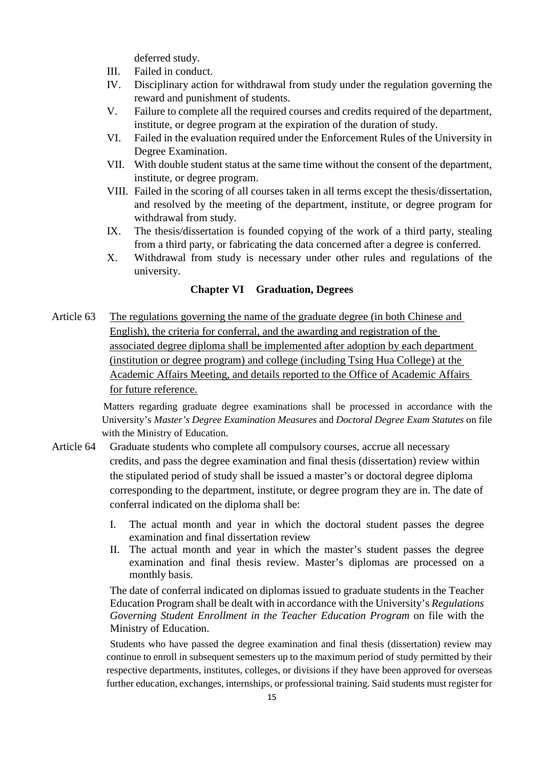deferred study.

- III. Failed in conduct.
- IV. Disciplinary action for withdrawal from study under the regulation governing the reward and punishment of students.
- V. Failure to complete all the required courses and credits required of the department, institute, or degree program at the expiration of the duration of study.
- VI. Failed in the evaluation required under the Enforcement Rules of the University in Degree Examination.
- VII. With double student status at the same time without the consent of the department, institute, or degree program.
- VIII. Failed in the scoring of all courses taken in all terms except the thesis/dissertation, and resolved by the meeting of the department, institute, or degree program for withdrawal from study.
- IX. The thesis/dissertation is founded copying of the work of a third party, stealing from a third party, or fabricating the data concerned after a degree is conferred.
- X. Withdrawal from study is necessary under other rules and regulations of the university.

# **Chapter VI Graduation, Degrees**

Article 63 The regulations governing the name of the graduate degree (in both Chinese and English), the criteria for conferral, and the awarding and registration of the associated degree diploma shall be implemented after adoption by each department (institution or degree program) and college (including Tsing Hua College) at the Academic Affairs Meeting, and details reported to the Office of Academic Affairs for future reference.

> Matters regarding graduate degree examinations shall be processed in accordance with the University's *Master's Degree Examination Measures* and *Doctoral Degree Exam Statutes* on file with the Ministry of Education.

- Article 64 Graduate students who complete all compulsory courses, accrue all necessary credits, and pass the degree examination and final thesis (dissertation) review within the stipulated period of study shall be issued a master's or doctoral degree diploma corresponding to the department, institute, or degree program they are in. The date of conferral indicated on the diploma shall be:
	- I. The actual month and year in which the doctoral student passes the degree examination and final dissertation review
	- II. The actual month and year in which the master's student passes the degree examination and final thesis review. Master's diplomas are processed on a monthly basis.

The date of conferral indicated on diplomas issued to graduate students in the Teacher Education Program shall be dealt with in accordance with the University's *Regulations Governing Student Enrollment in the Teacher Education Program* on file with the Ministry of Education.

Students who have passed the degree examination and final thesis (dissertation) review may continue to enroll in subsequent semesters up to the maximum period of study permitted by their respective departments, institutes, colleges, or divisions if they have been approved for overseas further education, exchanges, internships, or professional training. Said students must register for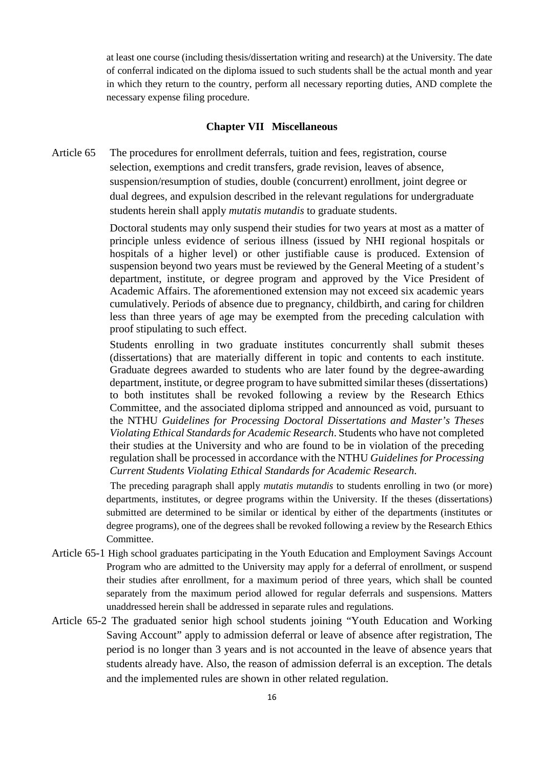at least one course (including thesis/dissertation writing and research) at the University. The date of conferral indicated on the diploma issued to such students shall be the actual month and year in which they return to the country, perform all necessary reporting duties, AND complete the necessary expense filing procedure.

#### **Chapter VII Miscellaneous**

Article 65 The procedures for enrollment deferrals, tuition and fees, registration, course selection, exemptions and credit transfers, grade revision, leaves of absence, suspension/resumption of studies, double (concurrent) enrollment, joint degree or dual degrees, and expulsion described in the relevant regulations for undergraduate students herein shall apply *mutatis mutandis* to graduate students.

> Doctoral students may only suspend their studies for two years at most as a matter of principle unless evidence of serious illness (issued by NHI regional hospitals or hospitals of a higher level) or other justifiable cause is produced. Extension of suspension beyond two years must be reviewed by the General Meeting of a student's department, institute, or degree program and approved by the Vice President of Academic Affairs. The aforementioned extension may not exceed six academic years cumulatively. Periods of absence due to pregnancy, childbirth, and caring for children less than three years of age may be exempted from the preceding calculation with proof stipulating to such effect.

> Students enrolling in two graduate institutes concurrently shall submit theses (dissertations) that are materially different in topic and contents to each institute. Graduate degrees awarded to students who are later found by the degree-awarding department, institute, or degree program to have submitted similar theses (dissertations) to both institutes shall be revoked following a review by the Research Ethics Committee, and the associated diploma stripped and announced as void, pursuant to the NTHU *Guidelines for Processing Doctoral Dissertations and Master's Theses Violating Ethical Standards for Academic Research*. Students who have not completed their studies at the University and who are found to be in violation of the preceding regulation shall be processed in accordance with the NTHU *Guidelines for Processing Current Students Violating Ethical Standards for Academic Research*.

The preceding paragraph shall apply *mutatis mutandis* to students enrolling in two (or more) departments, institutes, or degree programs within the University. If the theses (dissertations) submitted are determined to be similar or identical by either of the departments (institutes or degree programs), one of the degrees shall be revoked following a review by the Research Ethics Committee.

- Article 65-1 High school graduates participating in the Youth Education and Employment Savings Account Program who are admitted to the University may apply for a deferral of enrollment, or suspend their studies after enrollment, for a maximum period of three years, which shall be counted separately from the maximum period allowed for regular deferrals and suspensions. Matters unaddressed herein shall be addressed in separate rules and regulations.
- Article 65-2 The graduated senior high school students joining "Youth Education and Working Saving Account" apply to admission deferral or leave of absence after registration, The period is no longer than 3 years and is not accounted in the leave of absence years that students already have. Also, the reason of admission deferral is an exception. The detals and the implemented rules are shown in other related regulation.